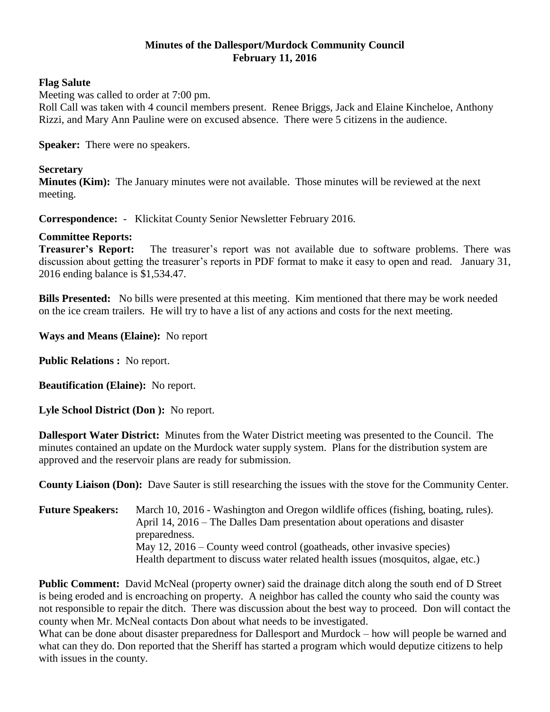## **Minutes of the Dallesport/Murdock Community Council February 11, 2016**

## **Flag Salute**

Meeting was called to order at 7:00 pm.

Roll Call was taken with 4 council members present. Renee Briggs, Jack and Elaine Kincheloe, Anthony Rizzi, and Mary Ann Pauline were on excused absence. There were 5 citizens in the audience.

**Speaker:** There were no speakers.

## **Secretary**

**Minutes (Kim):** The January minutes were not available. Those minutes will be reviewed at the next meeting.

**Correspondence:** - Klickitat County Senior Newsletter February 2016.

## **Committee Reports:**

**Treasurer's Report:** The treasurer's report was not available due to software problems. There was discussion about getting the treasurer's reports in PDF format to make it easy to open and read. January 31, 2016 ending balance is \$1,534.47.

**Bills Presented:** No bills were presented at this meeting. Kim mentioned that there may be work needed on the ice cream trailers. He will try to have a list of any actions and costs for the next meeting.

**Ways and Means (Elaine):** No report

**Public Relations :** No report.

**Beautification (Elaine):** No report.

**Lyle School District (Don ):** No report.

**Dallesport Water District:** Minutes from the Water District meeting was presented to the Council. The minutes contained an update on the Murdock water supply system. Plans for the distribution system are approved and the reservoir plans are ready for submission.

**County Liaison (Don):** Dave Sauter is still researching the issues with the stove for the Community Center.

**Future Speakers:** March 10, 2016 - Washington and Oregon wildlife offices (fishing, boating, rules). April 14, 2016 – The Dalles Dam presentation about operations and disaster preparedness. May 12, 2016 – County weed control (goatheads, other invasive species) Health department to discuss water related health issues (mosquitos, algae, etc.)

**Public Comment:** David McNeal (property owner) said the drainage ditch along the south end of D Street is being eroded and is encroaching on property. A neighbor has called the county who said the county was not responsible to repair the ditch. There was discussion about the best way to proceed. Don will contact the county when Mr. McNeal contacts Don about what needs to be investigated.

What can be done about disaster preparedness for Dallesport and Murdock – how will people be warned and what can they do. Don reported that the Sheriff has started a program which would deputize citizens to help with issues in the county.